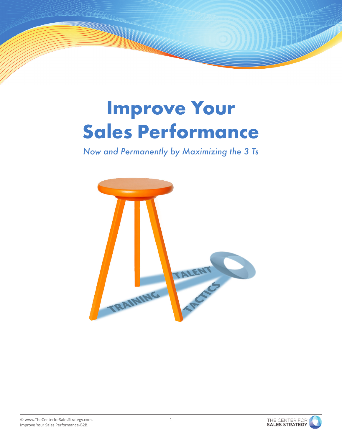# Improve Your Sales Performance

*Now and Permanently by Maximizing the 3 Ts*



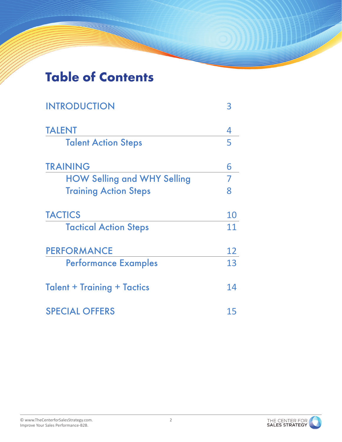### Table of Contents

| <b>INTRODUCTION</b>                |    |
|------------------------------------|----|
| <b>TALENT</b>                      | 4  |
| <b>Talent Action Steps</b>         | 5  |
| <b>TRAINING</b>                    | 6  |
| <b>HOW Selling and WHY Selling</b> | 7  |
| <b>Training Action Steps</b>       | 8  |
| <b>TACTICS</b>                     | 10 |
| <b>Tactical Action Steps</b>       | 11 |
| <b>PERFORMANCE</b>                 | 12 |
| <b>Performance Examples</b>        | 13 |
| <b>Talent + Training + Tactics</b> | 14 |
| <b>SPECIAL OFFERS</b>              | 15 |

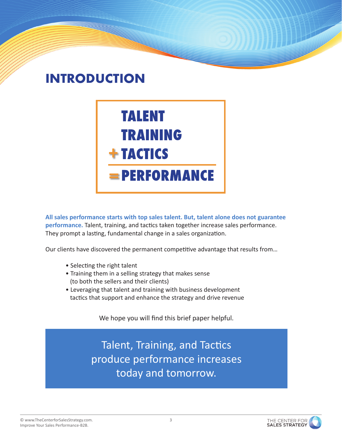### INTRODUCTION



**All sales performance starts with top sales talent. But, talent alone does not guarantee performance.** Talent, training, and tactics taken together increase sales performance. They prompt a lasting, fundamental change in a sales organization.

Our clients have discovered the permanent competitive advantage that results from…

- Selecting the right talent
- Training them in a selling strategy that makes sense (to both the sellers and their clients)
- Leveraging that talent and training with business development tactics that support and enhance the strategy and drive revenue

We hope you will find this brief paper helpful.

Talent, Training, and Tactics produce performance increases today and tomorrow.

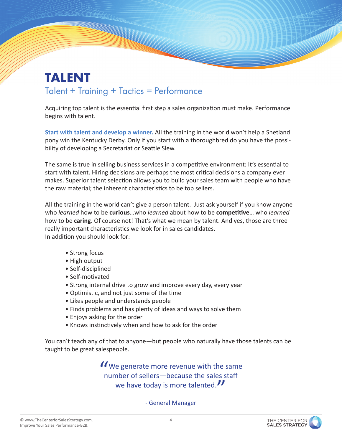#### TALENT Talent + Training + Tactics = Performance

Acquiring top talent is the essential first step a sales organization must make. Performance begins with talent.

**Start with talent and develop a winner.** All the training in the world won't help a Shetland pony win the Kentucky Derby. Only if you start with a thoroughbred do you have the possibility of developing a Secretariat or Seattle Slew.

The same is true in selling business services in a competitive environment: It's essential to start with talent. Hiring decisions are perhaps the most critical decisions a company ever makes. Superior talent selection allows you to build your sales team with people who have the raw material; the inherent characteristics to be top sellers.

All the training in the world can't give a person talent. Just ask yourself if you know anyone who *learned* how to be **curious**…who *learned* about how to be **competitive**… who *learned* how to be **caring**. Of course not! That's what we mean by talent. And yes, those are three really important characteristics we look for in sales candidates. In addition you should look for:

- Strong focus
- High output
- Self-disciplined
- Self-motivated
- Strong internal drive to grow and improve every day, every year
- Optimistic, and not just some of the time
- Likes people and understands people
- Finds problems and has plenty of ideas and ways to solve them
- Enjoys asking for the order
- Knows instinctively when and how to ask for the order

You can't teach any of that to anyone—but people who naturally have those talents can be taught to be great salespeople.

> We generate more revenue with the same number of sellers—because the sales staff we have today is more talented."

> > - General Manager

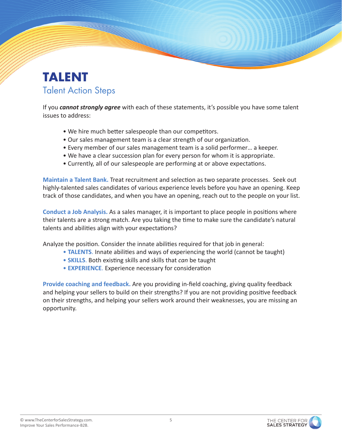#### TALENT Talent Action Steps

If you *cannot strongly agree* with each of these statements, it's possible you have some talent issues to address:

- We hire much better salespeople than our competitors.
- Our sales management team is a clear strength of our organization.
- Every member of our sales management team is a solid performer… a keeper.
- We have a clear succession plan for every person for whom it is appropriate.
- Currently, all of our salespeople are performing at or above expectations.

**Maintain a Talent Bank.** Treat recruitment and selection as two separate processes. Seek out highly-talented sales candidates of various experience levels before you have an opening. Keep track of those candidates, and when you have an opening, reach out to the people on your list.

**Conduct a Job Analysis.** As a sales manager, it is important to place people in positions where their talents are a strong match. Are you taking the time to make sure the candidate's natural talents and abilities align with your expectations?

Analyze the position. Consider the innate abilities required for that job in general:

- **TALENTS**. Innate abilities and ways of experiencing the world (cannot be taught)
- **SKILLS**. Both existing skills and skills that *can* be taught
- **EXPERIENCE**. Experience necessary for consideration

**Provide coaching and feedback.** Are you providing in-field coaching, giving quality feedback and helping your sellers to build on their strengths? If you are not providing positive feedback on their strengths, and helping your sellers work around their weaknesses, you are missing an opportunity.

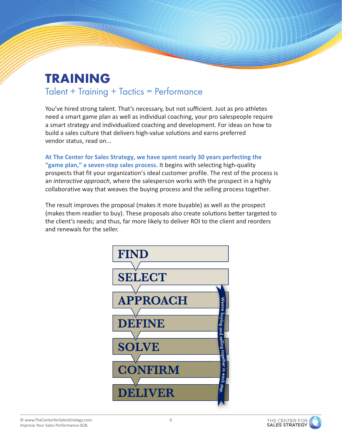## TRAINING

#### Talent + Training + Tactics = Performance

You've hired strong talent. That's necessary, but not sufficient. Just as pro athletes need a smart game plan as well as individual coaching, your pro salespeople require a smart strategy and individualized coaching and development. For ideas on how to build a sales culture that delivers high-value solutions and earns preferred vendor status, read on...

**At The Center for Sales Strategy, we have spent nearly 30 years perfecting the "game plan," a seven-step sales process.** It begins with selecting high-quality prospects that fit your organization's ideal customer profile. The rest of the process is an *interactive approach*, where the salesperson works with the prospect in a highly collaborative way that weaves the buying process and the selling process together.

The result improves the proposal (makes it more buyable) as well as the prospect (makes them readier to buy). These proposals also create solutions better targeted to the client's needs; and thus, far more likely to deliver ROI to the client and reorders and renewals for the seller.



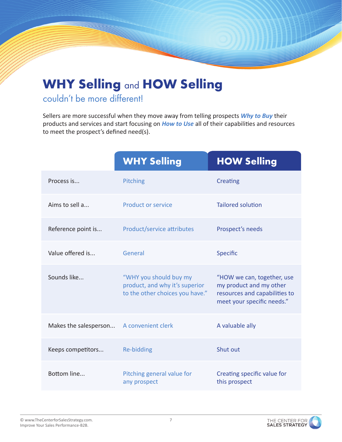## WHY Selling and HOW Selling

#### couldn't be more different!

Sellers are more successful when they move away from telling prospects *Why to Buy* their products and services and start focusing on *How to Use* all of their capabilities and resources to meet the prospect's defined need(s).

|                       | <b>WHY Selling</b>                                                                          | <b>HOW Selling</b>                                                                                                   |
|-----------------------|---------------------------------------------------------------------------------------------|----------------------------------------------------------------------------------------------------------------------|
| Process is            | Pitching                                                                                    | <b>Creating</b>                                                                                                      |
| Aims to sell a        | <b>Product or service</b>                                                                   | <b>Tailored solution</b>                                                                                             |
| Reference point is    | Product/service attributes                                                                  | Prospect's needs                                                                                                     |
| Value offered is      | General                                                                                     | <b>Specific</b>                                                                                                      |
| Sounds like           | "WHY you should buy my<br>product, and why it's superior<br>to the other choices you have." | "HOW we can, together, use<br>my product and my other<br>resources and capabilities to<br>meet your specific needs." |
| Makes the salesperson | A convenient clerk                                                                          | A valuable ally                                                                                                      |
| Keeps competitors     | <b>Re-bidding</b>                                                                           | Shut out                                                                                                             |
| Bottom line           | Pitching general value for<br>any prospect                                                  | Creating specific value for<br>this prospect                                                                         |

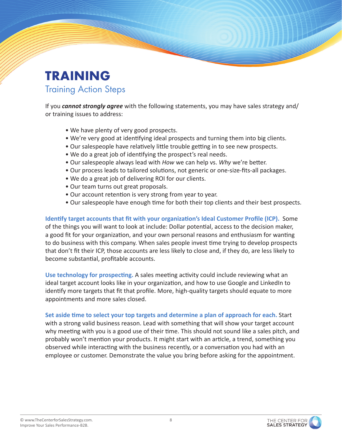#### TRAINING Training Action Steps

If you *cannot strongly agree* with the following statements, you may have sales strategy and/ or training issues to address:

- We have plenty of very good prospects.
- We're very good at identifying ideal prospects and turning them into big clients.
- Our salespeople have relatively little trouble getting in to see new prospects.
- We do a great job of identifying the prospect's real needs.
- Our salespeople always lead with *How* we can help vs. *Why* we're better.
- Our process leads to tailored solutions, not generic or one-size-fits-all packages.
- We do a great job of delivering ROI for our clients.
- Our team turns out great proposals.
- Our account retention is very strong from year to year.
- Our salespeople have enough time for both their top clients and their best prospects.

**Identify target accounts that fit with your organization's Ideal Customer Profile (ICP).** Some of the things you will want to look at include: Dollar potential, access to the decision maker, a good fit for your organization, and your own personal reasons and enthusiasm for wanting to do business with this company. When sales people invest time trying to develop prospects that don't fit their ICP, those accounts are less likely to close and, if they do, are less likely to become substantial, profitable accounts.

**Use technology for prospecting.** A sales meeting activity could include reviewing what an ideal target account looks like in your organization, and how to use Google and LinkedIn to identify more targets that fit that profile. More, high-quality targets should equate to more appointments and more sales closed.

**Set aside time to select your top targets and determine a plan of approach for each.** Start with a strong valid business reason. Lead with something that will show your target account why meeting with you is a good use of their time. This should not sound like a sales pitch, and probably won't mention your products. It might start with an article, a trend, something you observed while interacting with the business recently, or a conversation you had with an employee or customer. Demonstrate the value you bring before asking for the appointment.

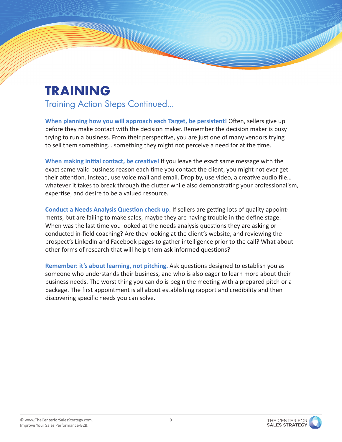### TRAINING

Training Action Steps Continued...

**When planning how you will approach each Target, be persistent!** Often, sellers give up before they make contact with the decision maker. Remember the decision maker is busy trying to run a business. From their perspective, you are just one of many vendors trying to sell them something… something they might not perceive a need for at the time.

**When making initial contact, be creative!** If you leave the exact same message with the exact same valid business reason each time you contact the client, you might not ever get their attention. Instead, use voice mail and email. Drop by, use video, a creative audio file… whatever it takes to break through the clutter while also demonstrating your professionalism, expertise, and desire to be a valued resource.

**Conduct a Needs Analysis Question check up.** If sellers are getting lots of quality appointments, but are failing to make sales, maybe they are having trouble in the define stage. When was the last time you looked at the needs analysis questions they are asking or conducted in-field coaching? Are they looking at the client's website, and reviewing the prospect's LinkedIn and Facebook pages to gather intelligence prior to the call? What about other forms of research that will help them ask informed questions?

**Remember: it's about learning, not pitching.** Ask questions designed to establish you as someone who understands their business, and who is also eager to learn more about their business needs. The worst thing you can do is begin the meeting with a prepared pitch or a package. The first appointment is all about establishing rapport and credibility and then discovering specific needs you can solve.

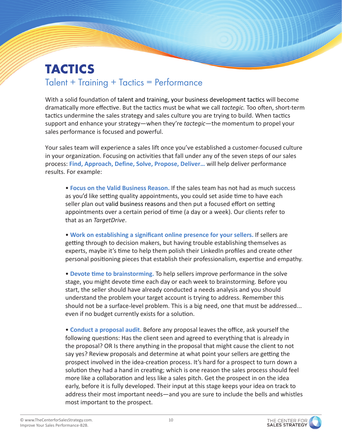#### TACTICS Talent + Training + Tactics = Performance

With a solid foundation of talent and training, your business development tactics will become dramatically more effective. But the tactics must be what we call *tactegic.* Too often, short-term tactics undermine the sales strategy and sales culture you are trying to build. When tactics support and enhance your strategy—when they're *tactegic*—the momentum to propel your sales performance is focused and powerful.

Your sales team will experience a sales lift once you've established a customer-focused culture in your organization. Focusing on activities that fall under any of the seven steps of our sales process: **Find, Approach, Define, Solve, Propose, Deliver…** will help deliver performance results. For example:

• **Focus on the Valid Business Reason.** If the sales team has not had as much success as you'd like setting quality appointments, you could set aside time to have each seller plan out valid business reasons and then put a focused effort on setting appointments over a certain period of time (a day or a week). Our clients refer to that as an *TargetDrive*.

• **Work on establishing a significant online presence for your sellers.** If sellers are getting through to decision makers, but having trouble establishing themselves as experts, maybe it's time to help them polish their LinkedIn profiles and create other personal positioning pieces that establish their professionalism, expertise and empathy.

• **Devote time to brainstorming.** To help sellers improve performance in the solve stage, you might devote time each day or each week to brainstorming. Before you start, the seller should have already conducted a needs analysis and you should understand the problem your target account is trying to address. Remember this should not be a surface-level problem. This is a big need, one that must be addressed... even if no budget currently exists for a solution.

• **Conduct a proposal audit.** Before any proposal leaves the office, ask yourself the following questions: Has the client seen and agreed to everything that is already in the proposal? OR Is there anything in the proposal that might cause the client to not say yes? Review proposals and determine at what point your sellers are getting the prospect involved in the idea-creation process. It's hard for a prospect to turn down a solution they had a hand in creating; which is one reason the sales process should feel more like a collaboration and less like a sales pitch. Get the prospect in on the idea early, before it is fully developed. Their input at this stage keeps your idea on track to address their most important needs—and you are sure to include the bells and whistles most important to the prospect.

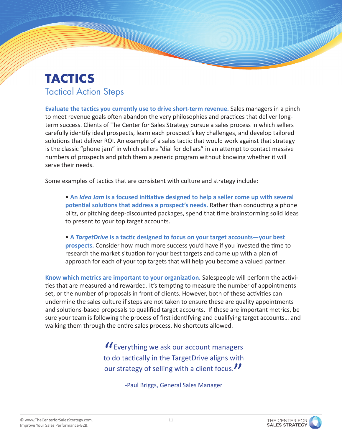#### TACTICS Tactical Action Steps

**Evaluate the tactics you currently use to drive short-term revenue.** Sales managers in a pinch to meet revenue goals often abandon the very philosophies and practices that deliver longterm success. Clients of The Center for Sales Strategy pursue a sales process in which sellers carefully identify ideal prospects, learn each prospect's key challenges, and develop tailored solutions that deliver ROI. An example of a sales tactic that would work against that strategy is the classic "phone jam" in which sellers "dial for dollars" in an attempt to contact massive numbers of prospects and pitch them a generic program without knowing whether it will serve their needs.

Some examples of tactics that are consistent with culture and strategy include:

• **An** *Idea Jam* **is a focused initiative designed to help a seller come up with several potential solutions that address a prospect's needs.** Rather than conducting a phone blitz, or pitching deep-discounted packages, spend that time brainstorming solid ideas to present to your top target accounts.

• **A** *TargetDrive* **is a tactic designed to focus on your target accounts—your best prospects.** Consider how much more success you'd have if you invested the time to research the market situation for your best targets and came up with a plan of approach for each of your top targets that will help you become a valued partner.

**Know which metrics are important to your organization.** Salespeople will perform the activities that are measured and rewarded. It's tempting to measure the number of appointments set, or the number of proposals in front of clients. However, both of these activities can undermine the sales culture if steps are not taken to ensure these are quality appointments and solutions-based proposals to qualified target accounts. If these are important metrics, be sure your team is following the process of first identifying and qualifying target accounts… and walking them through the entire sales process. No shortcuts allowed.

> II Everything we ask our account managers to do tactically in the TargetDrive aligns with our strategy of selling with a client focus.

> > -Paul Briggs, General Sales Manager

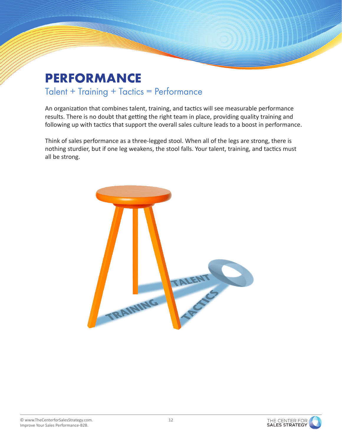## PERFORMANCE

#### Talent + Training + Tactics = Performance

An organization that combines talent, training, and tactics will see measurable performance results. There is no doubt that getting the right team in place, providing quality training and following up with tactics that support the overall sales culture leads to a boost in performance.

Think of sales performance as a three-legged stool. When all of the legs are strong, there is nothing sturdier, but if one leg weakens, the stool falls. Your talent, training, and tactics must all be strong.



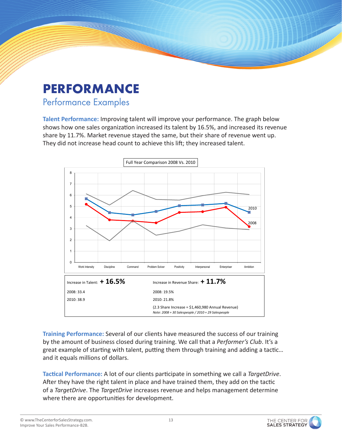### **PERFORMANCE**

#### Performance Examples

**Talent Performance:** Improving talent will improve your performance. The graph below shows how one sales organization increased its talent by 16.5%, and increased its revenue share by 11.7%. Market revenue stayed the same, but their share of revenue went up. They did not increase head count to achieve this lift; they increased talent.



**Training Performance:** Several of our clients have measured the success of our training by the amount of business closed during training. We call that a *Performer's Club*. It's a great example of starting with talent, putting them through training and adding a tactic… and it equals millions of dollars.

**Tactical Performance:** A lot of our clients participate in something we call a *TargetDrive*. After they have the right talent in place and have trained them, they add on the tactic of a *TargetDrive*. The *TargetDrive* increases revenue and helps management determine where there are opportunities for development.

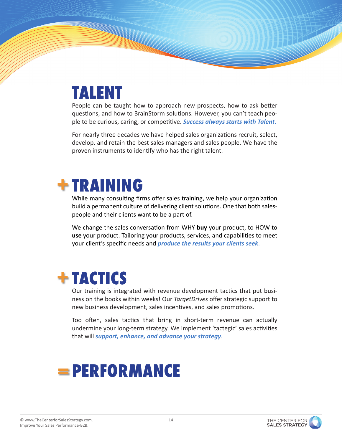## **TALENT**

People can be taught how to approach new prospects, how to ask better questions, and how to BrainStorm solutions. However, you can't teach people to be curious, caring, or competitive. *Success always starts with Talent*.

For nearly three decades we have helped sales organizations recruit, select, develop, and retain the best sales managers and sales people. We have the proven instruments to identify who has the right talent.

## **+ TRAINING**

While many consulting firms offer sales training, we help your organization build a permanent culture of delivering client solutions. One that both salespeople and their clients want to be a part of.

We change the sales conversation from WHY **buy** your product, to HOW to **use** your product. Tailoring your products, services, and capabilities to meet your client's specific needs and *produce the results your clients seek*.

## **+ TACTICS**

Our training is integrated with revenue development tactics that put business on the books within weeks! Our *TargetDrives* offer strategic support to new business development, sales incentives, and sales promotions.

Too often, sales tactics that bring in short-term revenue can actually undermine your long-term strategy. We implement 'tactegic' sales activities that will *support, enhance, and advance your strategy*.